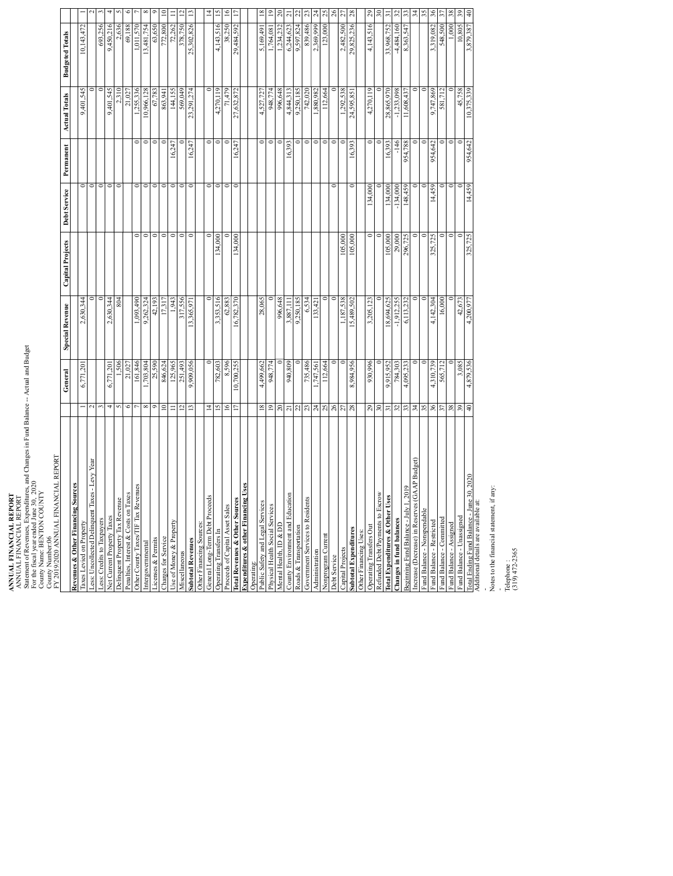## **ANNUAL FINANCIAL REPORT**

ANNUAL FINANCIAL REPORT Statement of Revenues, Expenditures, and Changes in Fund Balance -- Actual and Budget ANNUAL FINANCIAL REPORT<br>ANNUAL FINANCIAL REPORT<br>Statement of Revenues, Expenditures, and Changes in Fund Balance -- Actual and Budget<br>County Nesal year PRITodd Loo UNT 2020<br>County Number: 06<br>County Number: 06

For the fiscal year ended June 30, 2020 County Name: BENTON COUNTY

| FY 2019/2020 ANNUAL FINANCIAL REPORT           |                         |            |                        |                         |              |                |                      |                        |                      |
|------------------------------------------------|-------------------------|------------|------------------------|-------------------------|--------------|----------------|----------------------|------------------------|----------------------|
|                                                |                         | General    | <b>Special Revenue</b> | <b>Capital Projects</b> | Debt Service | Permanent      | <b>Actual Totals</b> | <b>Budgeted Totals</b> |                      |
| Revenues & Other Financing Sources             |                         |            |                        |                         |              |                |                      |                        |                      |
| Taxes Levied on Property                       |                         | 6,771,201  | 2,630,344              |                         |              |                | 9,401,545            | 10,143,472             |                      |
| Less: Uncollected Delinquent Taxes - Levy Year | $\sim$                  |            |                        |                         |              |                |                      |                        |                      |
| Less: Credits to Taxpayers                     |                         |            |                        |                         |              |                |                      | 693,256                |                      |
| Net Current Property Taxes                     | 4                       | 6,771,201  | 2,630,344              |                         |              |                | 9,401,545            | 9,450,216              |                      |
| Delinquent Property Tax Revenue                | 5                       | 1,506      | 804                    |                         | $\epsilon$   |                | 2,310                | 2,636                  |                      |
| Penalties, Interest & Costs on Taxes           | ∘                       | 21,027     |                        |                         |              |                | 21,027               | 69,188                 |                      |
| Other County Taxes/TIF Tax Revenues            |                         | 161,846    | 1.093.490              |                         |              |                | 1.255.336            | 1.011.570              |                      |
| Intergovernmental                              | $\infty$                | ,703,804   | 9,262,324              | c                       |              | $\circ$        | 10,966,128           | 13,481,754             |                      |
| Licenses & Permits                             | ۰                       | 25,590     | 42,193                 | $\circ$                 |              |                | 67,783               | 63,650                 |                      |
| Charges for Service                            | $\subseteq$             | 846,624    | 17.317                 | c                       |              |                | 863,941              | 772,800                |                      |
| Use of Money & Property                        | Ξ                       | 125,965    | 1,943                  | $\circ$                 | $\circ$      | 16,247         | 144,155              | 72,262                 |                      |
| Miscellaneous                                  | $\overline{c}$          | 251.493    | 317.556                | $\circ$                 |              |                | 569.049              | 378.750                |                      |
| <b>Subtotal Revenues</b>                       | $\overline{13}$         | 9,909,056  | 13,365,971             | c                       |              | 16,247         | 23,291,274           | 25,302,826             |                      |
| Other Financing Sources:                       |                         |            |                        |                         |              |                |                      |                        |                      |
| General Long-Term Debt Proceeds                | $\overline{4}$          |            | c                      |                         |              | 0              |                      |                        |                      |
| Operating Transfers In                         | $\overline{5}$          | 782,603    | 3,353,516              | 134,000                 |              | c              | 4,270,119            | 4,143,516              |                      |
| Proceeds of Capital Asset Sales                | $\geq$                  | 8.596      | 62,883                 |                         |              |                | 71,479               | 38,250                 |                      |
| Total Revenues & Other Sources                 | n                       | 10,700,255 | 16,782,370             | 134,000                 |              | 16,247         | 27,632,872           | 29,484,592             |                      |
| Expenditures & other Financing Uses            |                         |            |                        |                         |              |                |                      |                        |                      |
| Operating:                                     |                         |            |                        |                         |              |                |                      |                        |                      |
| Public Safety and Legal Services               | $\overline{\mathbf{8}}$ | 4,499,662  | 28,065                 |                         |              | $\circ$        | 4,527,727            | 5,169,491              |                      |
| Physical Health Social Services                | $\overline{19}$         | 948,774    |                        |                         |              | $\overline{C}$ | 948,774              | 1,764,081              |                      |
| Mental Health, ID & DD                         | $\approx$               |            | 996,648                |                         |              |                | 996,648              | 1,234,232              |                      |
| County Environment and Education               | $\overline{21}$         | 940.809    | 3.887.111              |                         |              | 16,393         | 4.844.313            | 6,244,623              |                      |
| Roads & Transportation                         | 22                      |            | 9,250,185              |                         |              |                | 9,250,185            | 9.597.824              |                      |
| Government Services to Residents               | 23                      | 735,486    | 6,534                  |                         |              | c              | 742,020              | 839,486                |                      |
| Administration                                 | $\overline{24}$         | ,747,561   | 133,421                |                         |              | $\overline{C}$ | .880,982             | 2,369,999              | 24                   |
| Nonprogram Current                             | 25                      | 112,664    |                        |                         |              | $\circ$        | 112,664              | 123,000                | ష                    |
| Debt Service                                   | 26                      |            |                        |                         |              |                |                      |                        |                      |
| Capital Projects                               | 27                      |            | 1,187,538              | 105,000                 |              | c              | 1,292,538            | 2,482,500              | 27                   |
| <b>Subtotal Expenditures</b>                   | 28                      | 8,984,956  | 15,489,502             | 105,000                 |              | 16,393         | 24,595,851           | 29,825,236             | 28                   |
| Other Financing Uses:                          |                         |            |                        |                         |              |                |                      |                        |                      |
| Operating Transfers Out                        | 29                      | 930,996    | 3,205,123              | $\circ$                 | 134,000      | $\circ$        | 4,270,119            | 4,143,516              | 29                   |
| Refunded Debt/Payments to Escrow               | 30                      |            |                        |                         |              |                |                      |                        |                      |
| Total Expenditures & Other Uses                | $\overline{5}$          | 9.915.952  | 18,694,625             | 105,000                 | 134,000      | 16,393         | 28,865,970           | 33,968,752             | ᅙ                    |
| Changes in fund balances                       | $\mathfrak{L}$          | 784,303    | $-1,912,255$           | 29,000                  | $-134,000$   | $-146$         | $-1,233,098$         | $-4,484,160$           | 32                   |
| Beginning Fund Balance - July 1, 2019          | 33                      | 4,095,233  | 6,113,232              | 296,725                 | 148,459      | 954,788        | 11,608,437           | 8,363,547              |                      |
| Increase (Decrease) in Reserves (GAAP Budget)  | 34                      |            |                        |                         |              |                |                      |                        | र्द्र                |
| Fund Balance - Nonspendable                    | 35                      |            |                        |                         |              |                |                      |                        |                      |
| Fund Balance - Restricted                      | 36                      | 4,310,739  | 4.142.304              | 325,725                 | 14,459       | 954,642        | 9.747,869            | 3,319,082              | $\frac{8}{3}$        |
| Fund Balance - Committed                       | 57                      | 565,712    | 16,000                 | 0                       |              |                | 581,712              | 548,500                |                      |
| Fund Balance - Assigned                        | 38                      |            |                        | c                       |              |                |                      | 1,000                  | 38                   |
| Fund Balance - Unassigned                      | 39                      | 3,085      | 42,673                 |                         |              |                | 45,758               | 10,805                 | $\overline{39}$      |
| Total Ending Fund Balance - June 30, 2020      | 0 <sub>b</sub>          | 4,879,536  | 4,200,977              | 325,725                 | 14,459       | 954,642        | 10,375,339           | 3,879,387              | $\frac{4}{\sqrt{2}}$ |

Total Ending Balance - June 30, 2020<br>Total Ending Fund Balance - June 30, 2020<br>1991 - June 30, 2020 Frum Baiance – Omsasgned<br>Additional details are available at:<br>- Additional details are available at:<br>-Notes to the financial statement, if any:<br>-Telephone :<br>- -Telephone : -

(319) 472-2365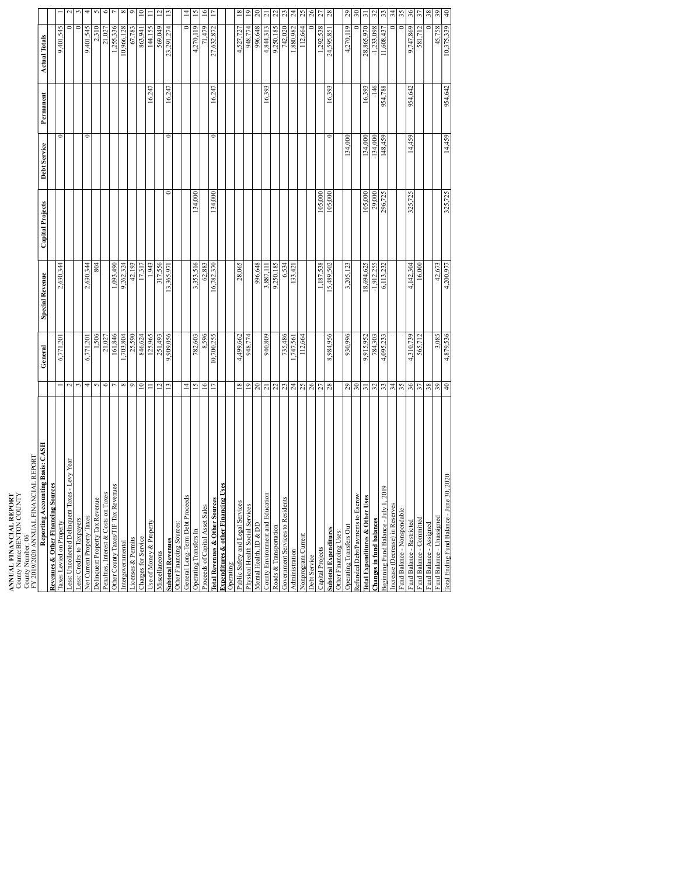**ANNUAL FINANCIAL REPORT** ANNUAL FINANCIAL REPORT<br>County Name:BENTON COUNTY<br>County Number: 06<br>County Number: 06

County Name:BENTON COUNTY

| FY 2019/2020 ANNUAL FINANCIAL REPORT           |                   |            |                        |                         |              |           |                      |                |
|------------------------------------------------|-------------------|------------|------------------------|-------------------------|--------------|-----------|----------------------|----------------|
| Reporting Accounting Basis: CASH               |                   | General    | <b>Special Revenue</b> | <b>Capital Projects</b> | Debt Service | Permanent | <b>Actual Totals</b> |                |
| <b>Revenues &amp; Other Financing Sources</b>  |                   |            |                        |                         |              |           |                      |                |
| Taxes Levied on Property                       |                   | 6,771,20   | 2,630,344              |                         | 0            |           | 9,401,545            |                |
| .ess: Uncollected Delinquent Taxes - Levy Year | $\mathbf{\Omega}$ |            |                        |                         |              |           |                      |                |
| Less: Credits to Taxpayers                     | ç                 |            |                        |                         |              |           |                      |                |
| Net Current Property Taxes                     | 4                 | 6,771,201  | 2,630,344              |                         | $\circ$      |           | 9,401,545            |                |
| Delinquent Property Tax Revenue                | 5                 | 1,506      | 804                    |                         |              |           | 2,310                |                |
| Penalties, Interest & Costs on Taxes           | $\circ$           | 21,027     |                        |                         |              |           | 21,027               | $\circ$        |
| Other County Taxes/TIF Tax Revenues            |                   | 161,846    | $\sqrt{0.093,490}$     |                         |              |           | .255.336             |                |
| Intergovernmental                              | $\infty$          |            | 9,262,324              |                         |              |           | 10,966,128           | ∝              |
| Licenses & Permits                             | $\circ$           | 1,703,804  | 42,193                 |                         |              |           | 67,783               |                |
| Charges for Service                            | $\overline{10}$   | 846,624    | 17,317                 |                         |              |           | 863,941              | $\Xi$          |
| Use of Money & Property                        | Ξ                 | 125.965    | 1.943                  |                         |              | 16,247    | 144.155              |                |
| Miscellaneous                                  | $\overline{c}$    | 251,493    | 317,556                |                         |              |           | 569,049              | $\overline{a}$ |
| <b>Subtotal Revenues</b>                       | 13                | 9,909,056  | 13,365,971             | 0                       | 0            | 16,247    | 23,291,274           | $\Xi$          |
| Other Financing Sources:                       |                   |            |                        |                         |              |           |                      |                |
| General Long-Term Debt Proceeds                | $\overline{4}$    |            |                        |                         |              |           | $\circ$              | $\vec{a}$      |
| Operating Transfers In                         | $\overline{15}$   | 782,603    | 3,353,516              | 134,000                 |              |           | 4,270,119            | 15             |
| Proceeds of Capital Asset Sales                | 16                | 8,596      | 62,883                 |                         |              |           | 71,479               | $\geq$         |
| LCGS<br><b>Total Revenues &amp; Other Sou</b>  | $\overline{17}$   | 10,700,255 | 16,782,370             | 134,000                 | 0            | 16,247    | 27,632,872           |                |
| <b>Expenditures &amp; other Financing Uses</b> |                   |            |                        |                         |              |           |                      |                |
| Operating:                                     |                   |            |                        |                         |              |           |                      |                |
| Public Safety and Legal Services               | 18                | 4,499,662  | 28,065                 |                         |              |           | 4.527.727            | $\frac{8}{2}$  |
| Physical Health Social Services                | 19                | 948,774    |                        |                         |              |           | 948,774              | $\tilde{=}$    |
| Mental Health, ID & DD                         | $20\,$            |            | 996,648                |                         |              |           | 996,648              | $\approx$      |
| County Environment and Education               | $\overline{z}$    | 940,809    | 3,887,11               |                         |              | 16,393    | 4,844,313            | ಸ              |
| Roads & Transportation                         | $\overline{c}$    |            | 9,250,185              |                         |              |           | 9,250.185            | g              |
| Government Services to Residents               |                   | 735,486    | 6,534                  |                         |              |           | 742,020              | ఇ              |
| Administration                                 | $23 \over 24$     | 1,747,561  | 133,42                 |                         |              |           | 1,880,982            | $\mathfrak{p}$ |
| Nonprogram Current                             | 25                | 112,664    |                        |                         |              |           | 112,664              | 25             |
| Debt Service                                   | 26                |            |                        |                         |              |           |                      | 26             |
| Capital Projects                               | 27                |            | 1.187.538              | 105.000                 |              |           | 292.538              | S,             |
| <b>Subtotal Expenditures</b>                   | 28                | 8,984,956  | 15,489,502             | 105,000                 | 0            | 16,393    | 24,595,851           | 28             |
| Other Financing Uses:                          |                   |            |                        |                         |              |           |                      |                |
| Operating Transfers Out                        | 29                | 930,996    | 3,205,123              |                         | 134,000      |           | 4,270,119            | 29             |
| Refunded Debt/Payments to Escrow               | $30\,$            |            |                        |                         |              |           |                      | $\approx$      |
| <b>Total Expenditures &amp; Other Uses</b>     | $\overline{5}$    | 9,915,952  | 18,694,625             | 105,000                 | 134,000      | 16.393    | 28,865,970           | ᆕ              |
| Changes in fund balances                       | $\mathfrak{L}$    | 784,303    | $-1,912,255$           | 29,000                  | $-134,000$   | $-146$    | $-1,233,098$         | $\mathfrak{L}$ |
| Beginning Fund Balance - July 1, 2019          | 33                | 4,095,233  | 6,113,232              | 296,725                 | 148,459      | 954,788   | 11,608,437           | 33             |
| ncrease (Decrease) in Reserves                 | 34                |            |                        |                         |              |           |                      | र्द्र          |
| Fund Balance - Nonspendable                    | 35                |            |                        |                         |              |           |                      | 35             |
| Fund Balance - Restricted                      | 36                | 4,310,739  | 4,142,304              | 325,725                 | 14,459       | 954,642   | 9,747,869            | 36             |
| Fund Balance - Committed                       | 57                | 565,712    | 16,000                 |                         |              |           | 581,712              | 57             |
| Fund Balance - Assigned                        | $38\,$            |            |                        |                         |              |           |                      | 38             |
| Fund Balance - Unassigned                      | 39                | 3,085      | 42,673                 |                         |              |           | 45,758               | 39             |
| une 30, 2020<br>Total Ending Fund Balance -    | $\overline{4}$    | 4,879,536  | 4,200,977              | 325,725                 | 14,459       | 954,642   | 10,375,339           | $\theta$       |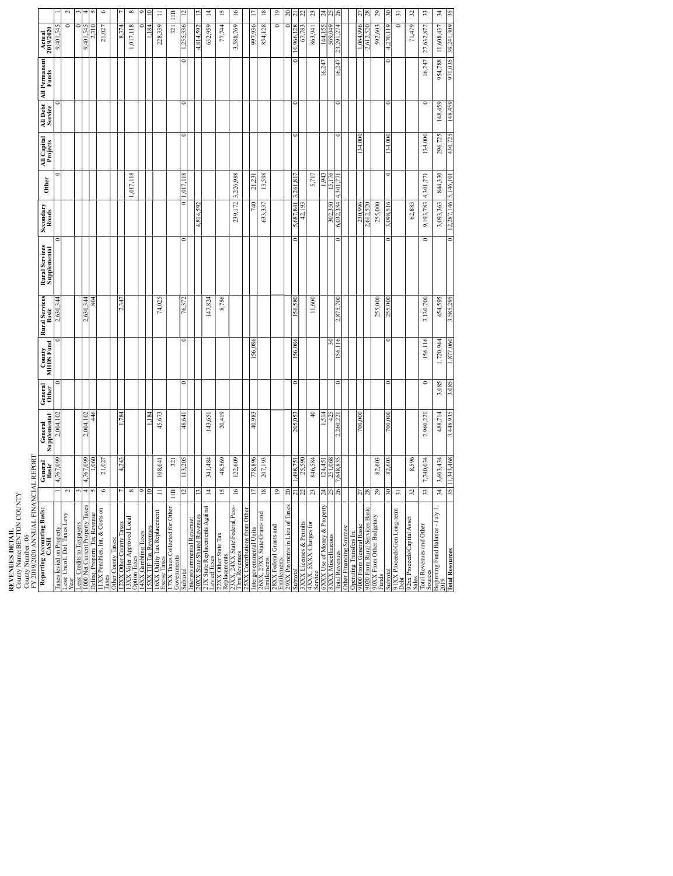| <b>LEVENUES DETAIL</b> | County Name:BENTON COUNTY |                   | TV 2010/2020 ANNITAT FINTANCIAT PEPOPT |
|------------------------|---------------------------|-------------------|----------------------------------------|
|                        |                           | County Number: 06 |                                        |

**REVENUES DETAIL**<br>County Name:BENTC<br>County Number: 06<br>FY 2019/2020 A NNI

| Y 2019/2020 ANNUAL FIN                                                                                                     |                 | ANCIAL REPOR     |                         |                  |                     |                         |                                       |                      |                 |                         |                     |                        |                                   |                  |
|----------------------------------------------------------------------------------------------------------------------------|-----------------|------------------|-------------------------|------------------|---------------------|-------------------------|---------------------------------------|----------------------|-----------------|-------------------------|---------------------|------------------------|-----------------------------------|------------------|
| Reporting Accounting Basis:<br>CASH                                                                                        |                 | General<br>Basic | Supplemental<br>General | General<br>Other | County<br>MHDS Fund | Rural Services<br>Basic | <b>Rural Services</b><br>Supplemental | Secondary<br>Roads   | Other           | All Capital<br>Projects | All Debt<br>Service | All Permanent<br>Funds | $\frac{\text{Actual}}{2019/2020}$ |                  |
|                                                                                                                            |                 | 4,767,099        | 2,004,102               |                  |                     | 2,630,344               |                                       |                      |                 |                         |                     |                        | 9,401,545                         |                  |
| Taxes levied on Property<br>Less: Uncoll. Del. Taxes Levy<br>Year                                                          | 2               |                  |                         |                  |                     |                         |                                       |                      |                 |                         |                     |                        | 0                                 | $\mathbf{\sim}$  |
|                                                                                                                            |                 |                  |                         |                  |                     |                         |                                       |                      |                 |                         |                     |                        |                                   |                  |
| css: Credits to Taxpayers<br>000 Net Current Property Taxes                                                                | 4               | 767.099<br>4     | 2,004,102               |                  |                     | 2,630,344               |                                       |                      |                 |                         |                     |                        | 9,401,545                         | ÷                |
|                                                                                                                            |                 | $\frac{60}{20}$  | 446                     |                  |                     | 804                     |                                       |                      |                 |                         |                     |                        |                                   |                  |
| Delinq. Property Tax Revenue<br>11XX Penalties, Int, & Costs on<br>Taxes                                                   | $\circ$         | 21,027           |                         |                  |                     |                         |                                       |                      |                 |                         |                     |                        | 21,027                            | G                |
| Other County Taxes:                                                                                                        |                 |                  |                         |                  |                     |                         |                                       |                      |                 |                         |                     |                        |                                   |                  |
|                                                                                                                            |                 | 4,243            | -784                    |                  |                     | 2347                    |                                       |                      |                 |                         |                     |                        | 8.374                             |                  |
| 12XX Other County Taxes<br>13XX Voter Approved Local<br>Option Taxes                                                       | ${}^{\infty}$   |                  |                         |                  |                     |                         |                                       |                      | 1,017,118       |                         |                     |                        | 1,017,118                         | $\infty$         |
| 4XX Gambling Taxes                                                                                                         |                 |                  |                         |                  |                     |                         |                                       |                      |                 |                         |                     |                        |                                   |                  |
| <b>5XX TIF Tax Revenues</b>                                                                                                | $\equiv$        |                  | l.184                   |                  |                     |                         |                                       |                      |                 |                         |                     |                        | l. 184                            |                  |
| 16XX Utility Tax Replacement<br>Excise Taxes                                                                               | $\equiv$        | 108,641          | 45,673                  |                  |                     | 74,025                  |                                       |                      |                 |                         |                     |                        | 228,339                           | $\equiv$         |
| 17XX Taxes Collected for Other<br>Governments                                                                              | 11B             | $\overline{3}$   |                         |                  |                     |                         |                                       |                      |                 |                         |                     |                        | 321                               | 11B              |
| Subtotal                                                                                                                   | $\overline{c}$  | 13.205           | 48,641                  | $\circ$          |                     | 76,372                  | Φ                                     | $\mathbf{C}$         | .017.118        | 0                       | c                   |                        | .255.336                          |                  |
|                                                                                                                            |                 |                  |                         |                  |                     |                         |                                       |                      |                 |                         |                     |                        |                                   |                  |
|                                                                                                                            |                 |                  |                         |                  |                     |                         |                                       | 4,814,592            |                 |                         |                     |                        | 4,814,592                         |                  |
|                                                                                                                            | $\overline{4}$  | 341,484          | 143,651                 |                  |                     | 147,824                 |                                       |                      |                 |                         |                     |                        | 632,959                           | $\overline{4}$   |
| Intergovernmental Revenue:<br>20XX State Shared Revenues<br>21X State Replacements Against<br>22Xied Taxes<br>Replacements | $\overline{15}$ | 48,569           | 20,419                  |                  |                     | 8,756                   |                                       |                      |                 |                         |                     |                        | 77,744                            | $\tilde{=}$      |
| 23XX, 24XX State\Federal Pass-<br>Thru Revenues                                                                            | $\overline{16}$ | 122,609          |                         |                  |                     |                         |                                       | 239,172              | 3,226,988       |                         |                     |                        | 3,588,769                         | $\frac{6}{2}$    |
| 25XX Contributions from Other                                                                                              |                 |                  |                         |                  |                     |                         |                                       |                      |                 |                         |                     |                        |                                   |                  |
| Intergovernmental Units                                                                                                    |                 | 778,896          | 40,983                  |                  | 980'95              |                         |                                       | 740                  |                 |                         |                     |                        | 997,936                           |                  |
| 26XX, 27XX State Grants and<br>Entitlements                                                                                | $\overline{18}$ | 207,193          |                         |                  |                     |                         |                                       | 633,337              | 13,598          |                         |                     |                        | 854,128                           | $\overline{18}$  |
| 28XX Federal Grants and<br>Entitlements                                                                                    | $\overline{0}$  |                  |                         |                  |                     |                         |                                       |                      |                 |                         |                     |                        | $\circ$                           | $\tilde{=}$      |
| 29XX Payments in Lieu of Taxes                                                                                             | ನಿ              |                  |                         |                  |                     |                         |                                       |                      |                 |                         |                     |                        |                                   | ನ                |
| ubtotal                                                                                                                    | $\frac{2}{2}$   | ,498,751         | 205,053                 | $\circ$          | 980.951             | 186,681                 | c                                     | 118,789,5            | ,261,817        |                         |                     |                        | 10,966,128                        | $\sim$           |
| 3XXX Licenses & Permits                                                                                                    |                 | 25,590           |                         |                  |                     |                         |                                       | 42.19                |                 |                         |                     |                        | 67,783                            | N                |
| 4XXX, 5XXX Charges for<br>Service                                                                                          | $\mathfrak{L}$  | 846,584          | ¥                       |                  |                     | 11,600                  |                                       |                      | 5,717           |                         |                     |                        | 863,941                           | $\mathfrak{z}$   |
| 6XXX Use of Money & Property<br>8XXX Miscellaneous                                                                         | $\frac{24}{25}$ | 124,451          | 1.514                   |                  |                     |                         |                                       |                      | 1,943           |                         |                     | 16,247                 | 144,155                           | $rac{24}{25}$    |
|                                                                                                                            | 26              | 251,068          | $^{42}$<br>260.22       |                  | ₹                   | ,700<br>2,875,          |                                       | 384<br>302,350       | 5.176<br>301.77 |                         |                     | 16,247                 | 569,049<br>274<br>23.             |                  |
| Other Financing Sources:<br>otal Revenues                                                                                  |                 | ,648,835         |                         |                  | 156.                |                         |                                       | 6,032,               | 4               |                         |                     |                        | 167                               | $\tilde{\gamma}$ |
| Operating Transfers In:                                                                                                    |                 |                  |                         |                  |                     |                         |                                       |                      |                 |                         |                     |                        |                                   |                  |
| 9000 From General Basic                                                                                                    | 27              |                  | 700,000                 |                  |                     |                         |                                       | 230,996              |                 | 134,000                 |                     |                        | ,064,996                          | N                |
| 020 From Rural Services Basic                                                                                              | $^{28}$         |                  |                         |                  |                     |                         |                                       | 2.612.52             |                 |                         |                     |                        | 612.5                             |                  |
| 90XX From Other Budgetary<br>Funds<br>Subtotal                                                                             | $^{29}$         | 82,603           |                         |                  |                     | 255,000                 |                                       | 255,000              |                 |                         |                     |                        | 592,603                           | $\mathfrak{S}$   |
|                                                                                                                            | R               | 82,603           | 700,000                 | 0                |                     | 255,000                 |                                       | 3,098,516            | 0               | 134.000                 |                     |                        | 4.270.119                         | ल                |
| 91XX Proceeds\Gen Long-term<br>Debt                                                                                        | $\overline{a}$  |                  |                         |                  |                     |                         |                                       |                      |                 |                         |                     |                        | $\epsilon$                        | $\Xi$            |
| 92xx Proceeds\Capital Asset<br>Sales                                                                                       | $\mathfrak{L}$  | 8,596            |                         |                  |                     |                         |                                       | 62,883               |                 |                         |                     |                        | 71,479                            | $\mathfrak{L}$   |
| <b>Total Revenues and Other</b>                                                                                            | 33              | 7,740,034        | 2,960,221               | $\circ$          | 156,116             | 3,130,700               | $\circ$                               | 9,193,783            | 4,301,77        | 134,000                 | $\circ$             | 16,247                 | 27,632,872                        | 33               |
| Sources<br>Beginning Fund Balance - July 1,<br>2019<br>Total Resources                                                     | 24              | 3,603,434        | 488,714                 | 3,085            | 1,720,944           | 454,595                 |                                       | 3,093,363            | 844,330         | 296,725                 | 148,459             | 954,788                | 11,608,437                        | $\frac{34}{3}$   |
|                                                                                                                            | 35              | 11,343,468       | 3,448,935               | 3,085            | 1,877,060           | 3,585,295               |                                       | 12,287,146 5,146,101 |                 | 430,725                 | 148,459             | 971,035                | 39,241,309                        | 55               |
|                                                                                                                            |                 |                  |                         |                  |                     |                         |                                       |                      |                 |                         |                     |                        |                                   |                  |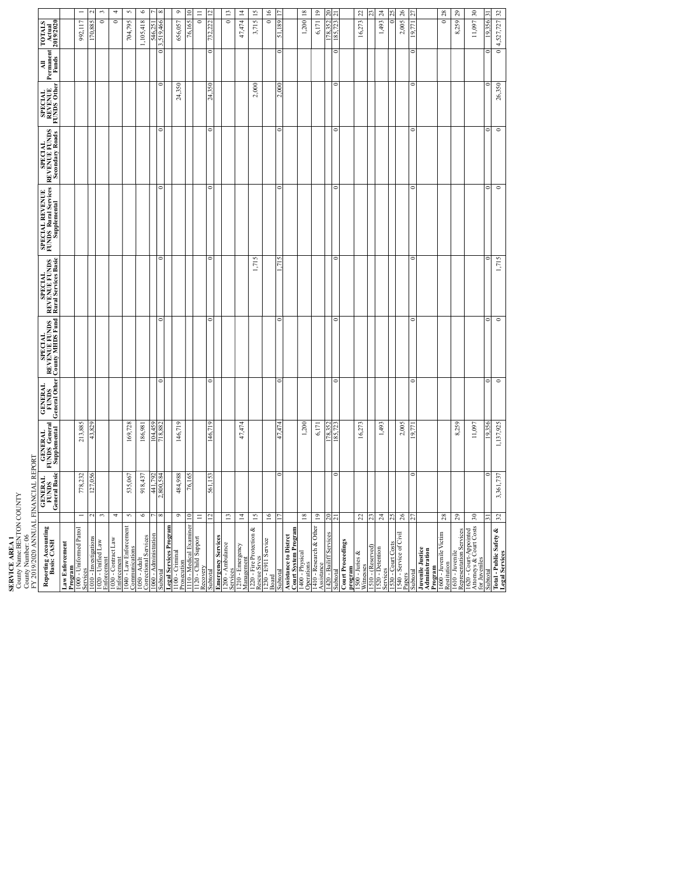**SERVICE AREA 1**<br>County Name:BEN<br>County Number: 06<br>FY 2019/2020 ANN County Name:BENTON COUNTY

 $30$  $32$ 4 5 6  $\circ$  $\frac{11}{12}$  $13$  $\overline{14}$  $15$  $\overline{6}$  $\overline{8}$ 19  $\frac{22}{\pi}$  $^{24}$  $26$  $\frac{28}{29}$ 1010 - Investigations 2 127,056 43,829 127,056 43,829 127,056 127,056 127,056 127,056 2 127,088 2 127,0885 2 1<br>1010 - Investigations 2 127,0585 2 127,058 128,000 128,000 128,000 128,000 128,000 128,000 127,000 127,000 127 Enforcement Lawrence and  $\frac{4}{4}$ Let an annual 5 535,067<br>Communications 5 535,067 169,728 704,795 535,067 169,728 Correctional Services 6 918,437 186,981 1,105,418 6 1060 - Administration 7 441,<u>792</u><br>1060 - Administration 7 441,<u>792</u> 104,459 546,251 7 546,351 7 546,351 7 546,351 7 546,351 7 546,351 7 546,351 7<br>المستقبلة المستقبلة المستقبلة المستقبلة المستقبلة المستقبلة المستقبلة المست Subtotal Brassing and Strategy of Constant of Constant of Constant of Constant of Constant of Constant of Constant of Constant of Constant of Constant of Constant of Constant of Constant of Constant of Constant of Consta Prosecutional 9 484,988 146,719<br>Prosecution 1980, 1980, 1980, 1980, 1980, 1980, 1980, 1980, 1980, 1980, 1980, 1980, 1980, 1980, 1980, 1980, 19<br>Prosecution 1980, 1980, 1980, 1980, 1980, 1980, 1980, 1980, 1980, 1980, 1980, 1 1110 - Medical Examiner 10 76,165 10<br>1110 - Medical Examiner 10 76,165 10 76,165 10 76,165 10 76,165 10 76,165 10 76,165 10 76,165 10 76,165 10 76  $\frac{1}{2}$   $\frac{1}{2}$   $\frac{1}{2}$   $\frac{1}{2}$   $\frac{1}{2}$   $\frac{1}{2}$   $\frac{1}{2}$   $\frac{1}{2}$   $\frac{1}{2}$   $\frac{1}{2}$   $\frac{1}{2}$   $\frac{1}{2}$   $\frac{1}{2}$   $\frac{1}{2}$   $\frac{1}{2}$   $\frac{1}{2}$   $\frac{1}{2}$   $\frac{1}{2}$   $\frac{1}{2}$   $\frac{1}{2}$   $\frac{1}{2}$   $\frac{1}{2}$  Management 14 147,474 14 147,474 14 147,474 147,474 17,474 17,474 17,474 17,474 14 17,474 14 17,474 14 17,474 1<br>Management 14 17,474 14 17,475 17,475 17,475 17,474 17,474 17,474 17,474 17,474 17,474 14,175 17,474 14 Rescue Srvcs 15 1,715 2,000 3,715 15 האומים המשפחה בין המשפחה המודע המשפחה המודע המשפחה המודע המודע המודע המודע המודע המודע המודע היה בין 16 שטואט<br>בין המודע המודע המודע המודע המודע המודע המודע המודע המודע המודע המודע המודע המודע המודע המודע המודע המודע היה<br>ש  $\frac{17}{1000}$  0  $\frac{17}{47.47}$  0 0  $\frac{17}{47.47}$  0 0 0  $\frac{17}{1000}$  2,000 0 51,189 17 19 1990-1990-1990-1991<br>Operations 1. 200 11 1.200 18<br>Operations 1. 2011 Assistance 19 6,171 19<br>Assistance 19 Februaries – 19 Februaries – 19 Februaries – 19 Februaries – 19 Februaries – 19 Februaries – 19<br>Assistance – 19 Februaries – 19 Februaries – 19 Februaries – 19 Februaries – 19 Februarie  $\frac{1420}{1420}$  - Bailiff Services 20 178,352 178,352 178,352 20 178,352 178,352 178,352 20 178,352 178,352 178,352 178,352 178,352 178,352 178,352 178,352 178,352 178,352 178,452 178,352 178,452 178,452 178,452 178,452 1 1300-Junis & 22<br>Winesses .<br>Winesses . 1.2.2.1. Detections 24 24 1,493 1,493 1,493 1,493 1,493 1,493 1,493 1,493 1,493 1,493 1,493 1,493 1,493 1,493 1<br>Services 1530 - Court Costs 25 0 25 Papers 26 2005 26 2005 26 2,005 2,005 2,005 2,005 2,005 2,005 2,005 2,005 2,005 2,005 2,005 2,005 2,005 2,005 2<br>Papers 2007 2,005 2,005 2,005 2,005 2,005 2,005 2,005 2,000 2,000 2,000 2,000 2,000 2,000 2,000 2,000 2,000 2, Subtotal 27 0 19,771 0 0 0 0 0 0 0 19,771 27 Restitution Restitution 28 0 28<br>Restitution<br>Restitution Representation Services 29 8,259 29<br>Representation Services 29 8,259 29 8,259 8,259 8,259 8,259 8,259 8,259 8,259 8,259 8,259 20 8,259 20 8,259 20  $30 \times 10^{-11}$  30 11,097 11,000 30 11,000 11,000 30 12,000 12,000 12,000 12,000 12,000 12,000 12,000 12,000 12,000 12,000 12,000 12,000 12,000 12,000 12,000 12,000 12,000 12,000 12,000 12,000 12,000 12,000 12,000 12,000 12 Services 1 778,232 213,885 992,117 213,885 992,117 992,117 992,117 992,117 992,117 992,117 992,117 992,117 992,<br>Services Enforcement Law  $\frac{3}{2}$ Recovery 11 0 11 FRANCE REPORT FOR THE SERVICES 13 0 13 0 13 0 13 0 13 0 13 0 14 14 15 16 17 18 18 19 19 10 13 Subtotal 21 0 185,723 0 0 0 0 0 0 0 185,723 21 1510 - (Reserved) 23 23 Subtotal 31 0 19,356 0 0 0 0 0 0 0 19,356 31 992,117  $4,527,727$ 704,795 47,474 3,715 6,171 16,273 8,259  $\overline{\phantom{0}}$  $\overline{\phantom{a}}$ 1,105,418 656,057  $\overline{\phantom{0}}$  $\overline{\phantom{0}}$  $\overline{\phantom{0}}$ 1,200 1,493 2,005  $\overline{\phantom{0}}$ 11,097 70.885  $\frac{546,251}{519,466}$  $\sqrt{2}$ 51,189 **TOTALS Actual 2019/2020**  $\frac{18,352}{95}$ **Permanent Funds All** 24,350 24.350 2,000  $000$ **SPECIAL REVENUE FUNDS Other REVENUE FUNDS Secondary Roads** SPECIAL<br>ENUE FU **FUNDS Rural Services SPECIAL REVENUE Supplemental**  $1,715$ **Rural Services Basic REVENUE FUNDS SPECIAL**<br>BNUE FU **REVENUE FUNDS County MHDS Fund SPECIAL GENERAL FUNDS General Other** 178,352 213,885 169,728 186,981 104,459 146,719 47,474 16,273 11,097 1,137,925 1,200  $6,171$ 1,493 2,005 8,259 43,829 146719  $.474$ 19356 **GENERAL FUNDS General Supplemental** FY 2019/2020 ANNUAL FINANCIAL REPORT 778,232 918,437 484,988 3,361,737 535,067 441,792<br>2800.584 **GENERAL FUNDS General Basic** 127,056 561 153  $\overline{c}$  $\overline{4}$ 5  $\mathfrak{S}$  $\frac{7}{8}$  $\frac{9}{10}$  $\equiv$  $\frac{12}{13}$  $\frac{4}{3}$  $15$  $16$  $^{\rm 18}$  $^{19}$  $\frac{20}{21}$ 23 24 25 26  $\mathbf{^{28}}$  $_{29}$  $_{30}$ l.  $32$  $\overline{z}$ **Basis: CASH** Operations<br>1410 - Research & Other<br>Assistance<br>1420 - Bailiff Services **Total - Public Safety & Legal Services Program** 1100 - Criminal 1120 - Child Support **Reporting Accounting** 1000 - Uniformed Patrol 1040 - Law Enforcement 1050 - Adult **Court System Program** 1400 - Physical **Juvenile Justice**<br> **Program Fatter Concilent Concilent**<br> **Program**<br>
1600 - Juvenile<br>
1610 - Juveniles<br>
1620 - Costs Appointed<br>
1620 - Costs Appointed<br>
1620 - Costs Appointed<br>
1610 - Juveniles 1220 - Fire Protection & 1230 - E911 Service 1530 - Court Costs<br>1540 - Service of Civil 1620 - Court-Appointed Emergency Services<br>1200 - Ambulance 1540 - Service of Civil **Emergency Services Assistance to Distrct** 1020 - Unified Law 1030 - Contract Law 1210 - Emergency<br>Management **Court Proceedings Law Enforcement Program** 1520 - Detention **program** 1500 - Juries & Subtotal

Legal Services 32 3,361,737 1,137,925 0 0 1,715 0 0 0 0,14,527,7327 327 327 1,715 0<br>Legal Services

 $\circ$ 

 $\overline{\phantom{0}}$ 

 $1,715$ 

 $\circ$ 

26,350

 $\overline{\phantom{a}}$ 

 $\overline{\phantom{a}}$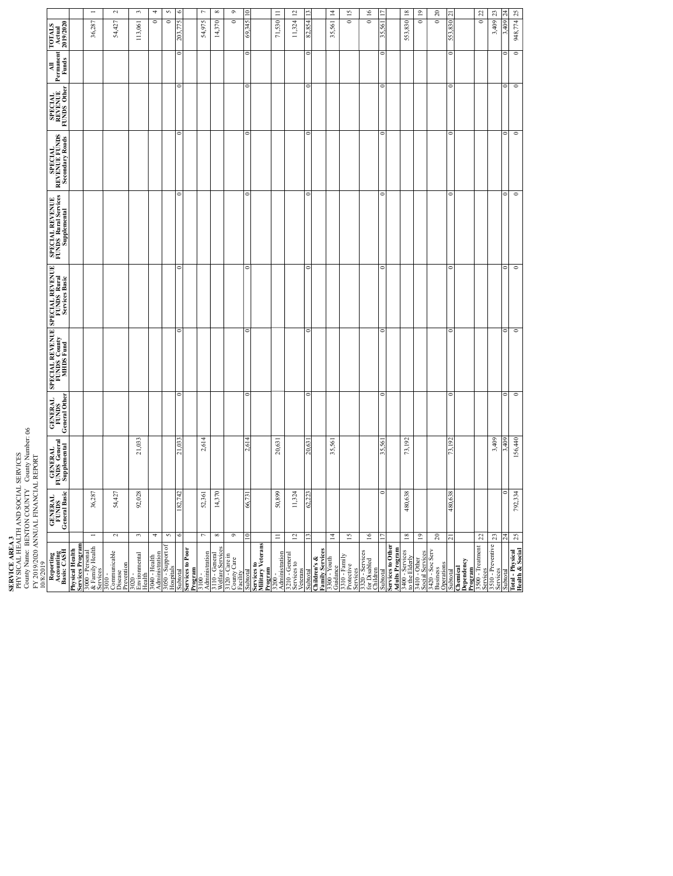| SERVICE AREA 3                                                                                   | PHYSICAL HEALTH AND SOCIAL SERVICES<br>FY 2019/2020 ANNUAL FINANCIAL REPORT<br>10/8/2019 | County Name: BENTON COUNTY County Number: 06 |                                   |                                                                                         |            |                                                         |                                                      |                                     |           |                                             |   |
|--------------------------------------------------------------------------------------------------|------------------------------------------------------------------------------------------|----------------------------------------------|-----------------------------------|-----------------------------------------------------------------------------------------|------------|---------------------------------------------------------|------------------------------------------------------|-------------------------------------|-----------|---------------------------------------------|---|
| Reporting<br>Accounting<br>Basis: CASH                                                           | <b>GENERAL</b><br>FUNDS<br>General Basic                                                 | GENERAL<br>FUNDS General<br>Supplemental     | GENERAL<br>FUNDS<br>General Other | SPECIAL REVENUE SPECIAL REVENUE<br>FUNDS County FUNDS Rural<br>MHDS Fund Services Basic |            | SPECIAL REVENUE<br>FUNDS Rural Services<br>Supplemental | <b>SPECIAL<br/>REVENUE FUNDS<br/>Secondary Roads</b> | SPECIAL<br>REVENUE  <br>FUNDS Other | Permanent | Actual<br>2019/2020<br><b>TOTALS</b>        |   |
|                                                                                                  |                                                                                          |                                              |                                   |                                                                                         |            |                                                         |                                                      |                                     |           |                                             |   |
| <b>Physical Health<br/>Services Program</b><br>3000 - Personal<br>& Family Health<br>Services    | 36,287<br>$\overline{\phantom{a}}$                                                       |                                              |                                   |                                                                                         |            |                                                         |                                                      |                                     |           | 36,287                                      |   |
| 3010 -<br>Communicable<br>Prevention<br>Disease                                                  | 54,427<br>$\sim$                                                                         |                                              |                                   |                                                                                         |            |                                                         |                                                      |                                     |           | 54,427                                      | 2 |
| Environmental<br>$3020 -$<br>ealth                                                               | 92,028<br>$\omega$                                                                       | 21,033                                       |                                   |                                                                                         |            |                                                         |                                                      |                                     |           | 113,061                                     | 3 |
| 3040 - Health<br>Administration                                                                  | 4                                                                                        |                                              |                                   |                                                                                         |            |                                                         |                                                      |                                     |           | 0                                           | 4 |
| 3050 - Support of<br>Hospitals                                                                   | $\sim$                                                                                   |                                              |                                   |                                                                                         |            |                                                         |                                                      |                                     |           | $\circ$                                     | 5 |
| total                                                                                            |                                                                                          | Ë                                            | $\overline{\phantom{0}}$          | $\circ$                                                                                 |            |                                                         | c                                                    |                                     | 0         |                                             |   |
| Services to Poor<br>Program                                                                      |                                                                                          |                                              |                                   |                                                                                         |            |                                                         |                                                      |                                     |           |                                             |   |
| 3100 -<br>Administration                                                                         | 52,361<br>$\overline{\phantom{a}}$                                                       | 2,614                                        |                                   |                                                                                         |            |                                                         |                                                      |                                     |           | 54,975                                      | Þ |
| 3110 - General<br>Welfare Services                                                               | 14,370<br>${}^{\circ}$                                                                   |                                              |                                   |                                                                                         |            |                                                         |                                                      |                                     |           | 14,370                                      | 8 |
| 3120 - Care in<br>County Care<br>Facility                                                        | $\bullet$                                                                                |                                              |                                   |                                                                                         |            |                                                         |                                                      |                                     |           | $\circ$                                     | 9 |
| ubtotal                                                                                          | 66,731                                                                                   | 2,614                                        | $\overline{\phantom{0}}$          | $\circ$                                                                                 | ∊          |                                                         | d                                                    | c                                   | $\circ$   | 69,345                                      |   |
| Services to<br>Military Veterans<br>meriau <sub>c</sub>                                          |                                                                                          |                                              |                                   |                                                                                         |            |                                                         |                                                      |                                     |           |                                             |   |
| $\begin{array}{c}\n 3200 \\  1 \text{Administration} \\  \hline\n 7 - \text{real}\n \end{array}$ | 50,899<br>$\equiv$                                                                       | 20,631                                       |                                   |                                                                                         |            |                                                         |                                                      |                                     |           | $\equiv$<br>71,530                          |   |
| 3210 - General<br>Services to<br>Veterans                                                        | 11,324<br>12                                                                             |                                              |                                   |                                                                                         |            |                                                         |                                                      |                                     |           | $\overline{c}$<br>11,324                    |   |
| Subtotal                                                                                         | 62,223                                                                                   | 20,631                                       | $\circ$                           | $\circ$                                                                                 | $\epsilon$ |                                                         | $\mathbf{C}$                                         | $\overline{\phantom{a}}$            | $\circ$   | 82,854                                      |   |
| Children's &<br>Family Services<br>3300 - Youth<br>Guidance<br>3310 - Family<br>Protective       |                                                                                          |                                              |                                   |                                                                                         |            |                                                         |                                                      |                                     |           |                                             |   |
|                                                                                                  | $\overline{1}$                                                                           | 35,561                                       |                                   |                                                                                         |            |                                                         |                                                      |                                     |           | $\overline{1}$<br>35,561                    |   |
| Services                                                                                         | $\overline{15}$                                                                          |                                              |                                   |                                                                                         |            |                                                         |                                                      |                                     |           | $\overline{15}$<br>$\overline{\phantom{a}}$ |   |
| 3320 - Services<br>for Disabled<br>Children                                                      | $\overline{16}$                                                                          |                                              |                                   |                                                                                         |            |                                                         |                                                      |                                     |           | 16<br>$\overline{\phantom{a}}$              |   |
| Subtotal                                                                                         |                                                                                          | 35,561                                       | $\circ$                           | $\circ$                                                                                 | 0          |                                                         | $\circ$                                              | $\overline{\phantom{0}}$            | $\circ$   | 35,561                                      |   |
| Services to Other<br>Adults Program                                                              |                                                                                          |                                              |                                   |                                                                                         |            |                                                         |                                                      |                                     |           |                                             |   |
| 3400 - Services<br>to the Elderly                                                                | 480,638<br>$18\,$                                                                        | 73,192                                       |                                   |                                                                                         |            |                                                         |                                                      |                                     |           | $\overline{18}$<br>553,830                  |   |
| 3410 - Other<br>Social Services                                                                  | $\overline{19}$                                                                          |                                              |                                   |                                                                                         |            |                                                         |                                                      |                                     |           | $\overline{19}$<br>$\circ$                  |   |
| 3420 - Soc Serv<br>Business<br>Operations                                                        | $\Omega$                                                                                 |                                              |                                   |                                                                                         |            |                                                         |                                                      |                                     |           | $20\,$<br>$\overline{\phantom{a}}$          |   |
| Subtotal                                                                                         | 480,638                                                                                  |                                              | 5                                 | 6                                                                                       |            |                                                         | 6                                                    |                                     |           | ಸ<br>$\approx$                              |   |
| Chemical<br>Dependency<br>Program                                                                |                                                                                          |                                              |                                   |                                                                                         |            |                                                         |                                                      |                                     |           |                                             |   |
| 3500 - Treatment<br>Services                                                                     | 22                                                                                       |                                              |                                   |                                                                                         |            |                                                         |                                                      |                                     |           | 22<br>$\circ$                               |   |
| 3510 - Preventive<br>Services                                                                    | 23                                                                                       | 3,409                                        |                                   |                                                                                         |            |                                                         |                                                      |                                     |           | 23<br>3,409                                 |   |
| Subtotal                                                                                         | 24                                                                                       | 3,409                                        | $\circ$                           | $\overline{\phantom{0}}$                                                                | $\circ$    |                                                         | $\circ$                                              | $\circ$                             | 0         | $^{24}$<br>3,409                            |   |
| Iotal-Physical                                                                                   | 792.334<br>25                                                                            | 156440                                       | $\overline{a}$                    | $\overline{a}$                                                                          | c          | $\overline{a}$                                          | c                                                    | c                                   | c         | 948.774.25                                  |   |

 $\overline{\phantom{0}}$  $\circ$ 

 $\circ$ o

156,440 3,409

792,334  $\overline{0}$ 

 $\overline{\phantom{0}}$ 

 $\overline{\phantom{0}}$  $\overline{\phantom{a}}$ 

 $\overline{\phantom{a}}$ 

 $\circ$ 0

 $\overline{\phantom{0}}$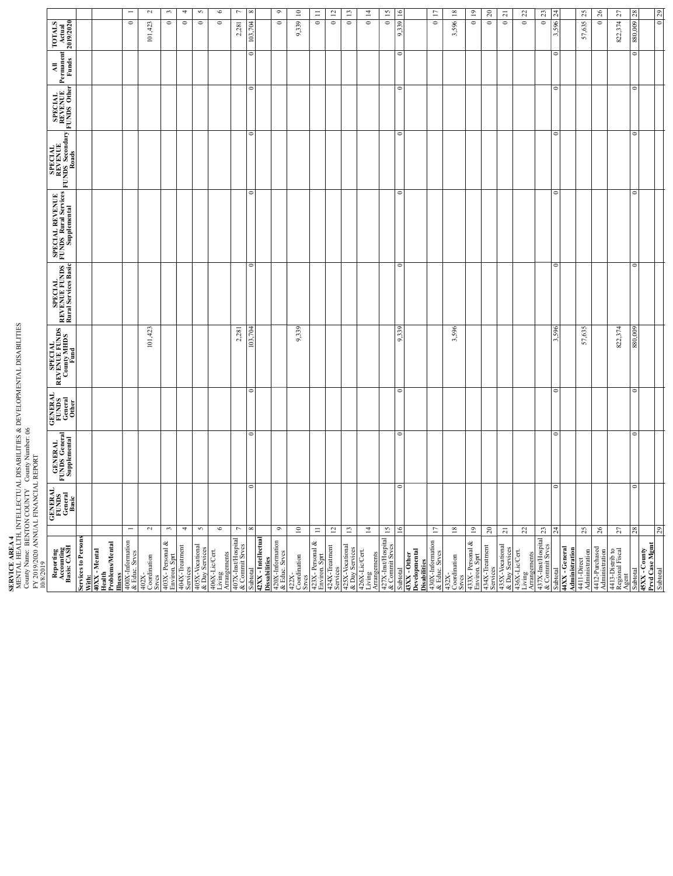| FY 2019/2020 ANNUAL FINANCIAL REPORT<br>10/8/2019                                                              |                                             |                                                 |                                             |                                                          |                                                         |                                                             |                                                       |                                   |                          |                               |                |
|----------------------------------------------------------------------------------------------------------------|---------------------------------------------|-------------------------------------------------|---------------------------------------------|----------------------------------------------------------|---------------------------------------------------------|-------------------------------------------------------------|-------------------------------------------------------|-----------------------------------|--------------------------|-------------------------------|----------------|
| Reporting<br>Accounting<br>Basis: CASH                                                                         | <b>GENERAL</b><br>FUNDS<br>General<br>Basic | <b>GENERAL</b><br>FUNDS General<br>Supplemental | <b>GENERAL</b><br>FUNDS<br>General<br>Other | <b>SPECIAL<br/>REVENUE FUNDS<br/>County MHDS</b><br>Fund | <b>SPECIAL</b><br>REVENUE FUNDS<br>Rural Services Basic | <b>SPECIAL REVENUE</b><br>FUNDS Rural Services <sub>I</sub> | <b>REVENUE</b><br>REVENUE<br>FUNDS Secondary<br>Roads | SPECIAL<br>REVENUE<br>FUNDS Other | MI<br>Permanent<br>Funds | TOTALS<br>Actual<br>2019/2020 |                |
| Services to Person                                                                                             |                                             |                                                 |                                             |                                                          |                                                         |                                                             |                                                       |                                   |                          |                               |                |
| With:<br>40XX - Mental<br>Health<br>Problems/Mental                                                            |                                             |                                                 |                                             |                                                          |                                                         |                                                             |                                                       |                                   |                          |                               |                |
| Illness<br>400X-Information<br>& Educ. Srvcs                                                                   | $\overline{\phantom{0}}$                    |                                                 |                                             |                                                          |                                                         |                                                             |                                                       |                                   |                          | $\circ$                       |                |
| 402X-<br>Coordination<br>Srves                                                                                 | $\sim$                                      |                                                 |                                             | 101,423                                                  |                                                         |                                                             |                                                       |                                   |                          | 101,423                       | $\sim$         |
|                                                                                                                | 3                                           |                                                 |                                             |                                                          |                                                         |                                                             |                                                       |                                   |                          | $\circ$                       | ొ              |
| 403X- Personal &<br>Environ. Sprt<br>404X-Treatment<br>Services                                                | $\overline{\phantom{a}}$                    |                                                 |                                             |                                                          |                                                         |                                                             |                                                       |                                   |                          | $\circ$                       | ᠴ              |
| & Day Services                                                                                                 | $\sim$                                      |                                                 |                                             |                                                          |                                                         |                                                             |                                                       |                                   |                          | $\circ$                       | m              |
| 406X-Lic/Cert.<br>Living<br>Arrangements                                                                       | $\bullet$                                   |                                                 |                                             |                                                          |                                                         |                                                             |                                                       |                                   |                          | $\circ$                       | ◡              |
| 407X-Inst/Hospital<br>& Commit Srvcs                                                                           | $\overline{\phantom{0}}$                    |                                                 |                                             | 2,281                                                    |                                                         |                                                             |                                                       |                                   |                          | 2,281                         | $\sim$         |
| 42XX - Intellectua<br>Subtotal                                                                                 | $\infty$                                    | $\circ$<br>$\circ$                              | $\circ$                                     | 103.704                                                  | ō                                                       | $\circ$                                                     | $\circ$                                               | $\circ$                           | $\circ$                  | 103.704                       |                |
| <b>Dissabilities</b>                                                                                           |                                             |                                                 |                                             |                                                          |                                                         |                                                             |                                                       |                                   |                          |                               |                |
| 420X-Information<br>& Educ. Srvcs                                                                              | $\circ$                                     |                                                 |                                             |                                                          |                                                         |                                                             |                                                       |                                   |                          | $\circ$                       | ∽              |
| $\begin{array}{c}\n 422X-\n  \text{Coodination} \\  \text{Stvcs}\n \end{array}$                                | $\square$                                   |                                                 |                                             | 9,339                                                    |                                                         |                                                             |                                                       |                                   |                          | 9,339                         | ≍              |
| $423X$ - Personal &<br>Environ. Sprt                                                                           | $\equiv$                                    |                                                 |                                             |                                                          |                                                         |                                                             |                                                       |                                   |                          | $\circ$                       | Ξ              |
| 424X-Treatment<br>Services                                                                                     | $\overline{\omega}$                         |                                                 |                                             |                                                          |                                                         |                                                             |                                                       |                                   |                          | $\circ$                       | ≘              |
| 425X-Vocational<br>& Day Ser                                                                                   | $\Xi$                                       |                                                 |                                             |                                                          |                                                         |                                                             |                                                       |                                   |                          | $\circ$                       | ≘              |
| 426X-Lic/Cert.<br>Living                                                                                       | $14$                                        |                                                 |                                             |                                                          |                                                         |                                                             |                                                       |                                   |                          | $\circ$                       | Ξ              |
| $\begin{array}{l}\n\text{Arran{\tilde{g}}}ements\\ \n427X-InstHospital\\ \n& \text{Commit S}rves\n\end{array}$ | $\overline{15}$                             |                                                 |                                             |                                                          |                                                         |                                                             |                                                       |                                   |                          | $\circ$                       | $\overline{z}$ |
| Subtotal                                                                                                       | $\frac{6}{2}$                               | $\circ$<br>$\circ$                              | $\circ$                                     | 9,339                                                    | $\circ$                                                 | $\circ$                                                     | $\circ$                                               | $\circ$                           | $\circ$                  | 339<br>$\circ$                |                |
| 43XX - Other<br>Developmental<br>Disabilities                                                                  |                                             |                                                 |                                             |                                                          |                                                         |                                                             |                                                       |                                   |                          |                               |                |
| 430X-Information<br>& Educ. Srvcs                                                                              | $\overline{17}$                             |                                                 |                                             |                                                          |                                                         |                                                             |                                                       |                                   |                          | $\circ$                       | ≘              |
| 432X-<br>Coordination<br>Srves                                                                                 | $\overline{18}$                             |                                                 |                                             | 3,596                                                    |                                                         |                                                             |                                                       |                                   |                          | 3,596                         | ≅              |
| 433X-Personal &<br>Environ. Sprt<br>434X-Treatment<br>Services                                                 | $\overline{19}$                             |                                                 |                                             |                                                          |                                                         |                                                             |                                                       |                                   |                          | $\circ$                       | $\Xi$          |
|                                                                                                                | $20\,$                                      |                                                 |                                             |                                                          |                                                         |                                                             |                                                       |                                   |                          | $\circ$                       | $\approx$      |
| & Day Services                                                                                                 | $\overline{\mathbf{z}}$                     |                                                 |                                             |                                                          |                                                         |                                                             |                                                       |                                   |                          | $\circ$                       | $\overline{a}$ |
| 436X-Lic/Cert.<br>Living<br>Arrangements                                                                       | $22\,$                                      |                                                 |                                             |                                                          |                                                         |                                                             |                                                       |                                   |                          | $\circ$                       | g              |
| 437X-Inst/Hospital<br>& Commit Srvcs                                                                           | $23\,$                                      |                                                 |                                             |                                                          |                                                         |                                                             |                                                       |                                   |                          | $\circ$                       | $\mathbb{Z}$   |
| 44XX - General<br>Subtotal                                                                                     | $\overline{24}$                             | $\circ$<br>$\circ$                              | $\circ$                                     | 596                                                      | $\circ$                                                 | $\circ$                                                     | $\circ$                                               | $\circ$                           | $\circ$                  | 3.596                         | $\frac{1}{2}$  |
| Administration                                                                                                 | $\mathfrak{L}$                              |                                                 |                                             | 57,635                                                   |                                                         |                                                             |                                                       |                                   |                          | 57,635                        | $\mathfrak{L}$ |
| 4412-Purchased<br>Administration<br>4411-Direct<br>Administration                                              | $26$                                        |                                                 |                                             |                                                          |                                                         |                                                             |                                                       |                                   |                          | $\circ$                       | $\approx$      |
|                                                                                                                |                                             |                                                 |                                             |                                                          |                                                         |                                                             |                                                       |                                   |                          |                               |                |
| 4413-Distrib to<br>Regional Fiscal<br>Agent                                                                    | $\mathfrak{L}7$                             |                                                 |                                             | 822,374                                                  |                                                         |                                                             |                                                       |                                   |                          | 822,374                       | 21             |
| Subtotal                                                                                                       | $^{28}$                                     | 0<br>$\circ$                                    | $\circ$                                     | 880,009                                                  | $\circ$                                                 | $\circ$                                                     | $\circ$                                               | $\circ$                           | $\circ$                  | 880,009                       | $\frac{8}{2}$  |
| 45XX - County<br>Prvd Case Mgmt<br>Subtotal                                                                    | 29                                          |                                                 |                                             |                                                          |                                                         |                                                             |                                                       |                                   |                          | $\circ$                       | $\mathbb{Z}^2$ |
|                                                                                                                |                                             |                                                 |                                             |                                                          |                                                         |                                                             |                                                       |                                   |                          |                               |                |

**SERVICE AREA4**<br>MENTAL HEALTH, INTELLECTUAL DISABILITIES & DEVELOPMENTAL DISABILITIES<br>County Name: BENTON COUNTY County Number: 06<br>FY 2019/2020 ANNUAL FINANCIAL REPORT MENTAL HEALTH, INTELLECTUAL DISABILITIES & DEVELOPMENTAL DISABILITIES County Name: BENTON COUNTY County Number: 06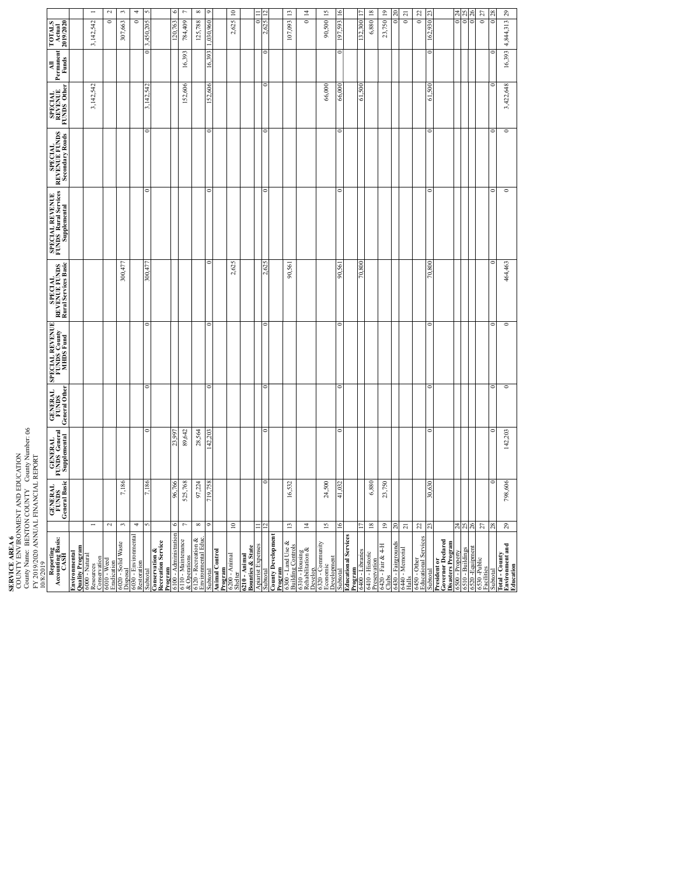| FY 2019/2020 ANNUAL FINANCIAL REPORT<br><b>SERVICE AREA 6</b><br>10/8/2019                                                            |                                          | COUNTY ENVIRONMENT AND EDUCATION<br>County Name: BENTON COUNTY County Number: 06 |                                   |                                              |                                                  |                                                         |                                                   |                                   |                           |                                                     |                          |
|---------------------------------------------------------------------------------------------------------------------------------------|------------------------------------------|----------------------------------------------------------------------------------|-----------------------------------|----------------------------------------------|--------------------------------------------------|---------------------------------------------------------|---------------------------------------------------|-----------------------------------|---------------------------|-----------------------------------------------------|--------------------------|
| Reporting<br>Accounting Basis:<br>CASH                                                                                                | <b>GENERAL</b><br>FUNDS<br>General Basic | GENERAL<br>FUNDS General<br>Supplemental                                         | GENERAL<br>FUNDS<br>General Other | SPECIAL REVENUE<br>FUNDS County<br>MHDS Fund | SPECIAL<br>REVENUE FUNDS<br>Rural Services Basic | SPECIAL REVENUE<br>FUNDS Rural Services<br>Supplemental | REVENUE FUNDS<br>REVENUE FUNDS<br>Secondary Roads | SPECIAL<br>REVENUE<br>FUNDS Other | All<br>Permanent<br>Funds | TOTALS<br>Actual<br>2019/2020                       |                          |
| <b>Quality Program</b><br>Environmental                                                                                               |                                          |                                                                                  |                                   |                                              |                                                  |                                                         |                                                   |                                   |                           |                                                     |                          |
| Resources<br>Resources<br><b>Conservation</b>                                                                                         |                                          |                                                                                  |                                   |                                              |                                                  |                                                         |                                                   | 3,142,542                         |                           | 3,142,542                                           | $\overline{\phantom{0}}$ |
|                                                                                                                                       | $\sim$                                   |                                                                                  |                                   |                                              |                                                  |                                                         |                                                   |                                   |                           | ō                                                   | $\sim$                   |
| 6010 - Weed<br>Eradication<br>6020 - Solid Waste<br>Disposal                                                                          | 7,186<br>3                               |                                                                                  |                                   |                                              | 300,477                                          |                                                         |                                                   |                                   |                           | 307,663                                             | $\omega$                 |
| 6030 - Environmental<br>Restoration                                                                                                   | 4                                        |                                                                                  |                                   |                                              |                                                  |                                                         |                                                   |                                   |                           | ō                                                   | 4                        |
| ibtotal                                                                                                                               | 98                                       |                                                                                  |                                   |                                              | 800                                              |                                                         |                                                   | 54<br>42                          |                           |                                                     |                          |
| Conservation &<br>Recreation Service                                                                                                  |                                          |                                                                                  |                                   |                                              |                                                  |                                                         |                                                   |                                   |                           |                                                     |                          |
| - Administrati<br>$\frac{1001201}{100}$                                                                                               | 96.766                                   | <b>L66 Łc</b>                                                                    |                                   |                                              |                                                  |                                                         |                                                   |                                   |                           | 20.763                                              |                          |
|                                                                                                                                       | 525,768<br>$\triangleright$              | 89,642                                                                           |                                   |                                              |                                                  |                                                         |                                                   | 152,606                           | 16,393                    | 784,409                                             | $\overline{ }$           |
| $\frac{\& 110 - \text{Maintenance}}{\& 0 \text{ operations}}$<br>$\frac{\& 120 - \text{Recreation & }}{\text{Environmental Editor.}}$ | 97,224<br>${}^{\infty}$                  | 28,564                                                                           |                                   |                                              |                                                  |                                                         |                                                   |                                   |                           | 125,788                                             | $\infty$                 |
| ubtotal                                                                                                                               | - 61                                     | 142.20 <sup>2</sup>                                                              | c                                 | $\epsilon$                                   |                                                  | c                                                       | c                                                 | 52.606                            | 16393                     | 030,960                                             | $\circ$                  |
| <b>Animal Control</b>                                                                                                                 |                                          |                                                                                  |                                   |                                              |                                                  |                                                         |                                                   |                                   |                           |                                                     |                          |
| <b>Program</b><br>6200 - Animal<br>Shelter                                                                                            | $\overline{a}$                           |                                                                                  |                                   |                                              | 2,625                                            |                                                         |                                                   |                                   |                           | $\supseteq$<br>2,625                                |                          |
| $\frac{6210 - \text{Animal}}{\text{Bounies} \& \text{State}}$                                                                         |                                          |                                                                                  |                                   |                                              |                                                  |                                                         |                                                   |                                   |                           |                                                     |                          |
|                                                                                                                                       |                                          |                                                                                  |                                   |                                              |                                                  |                                                         |                                                   |                                   |                           |                                                     |                          |
| <b>County Development</b>                                                                                                             |                                          |                                                                                  |                                   |                                              | 8                                                |                                                         |                                                   |                                   |                           |                                                     |                          |
| 6300 - Land Use &<br>Building Controls<br>rogram                                                                                      | 16,532<br>$\mathbf{r}$                   |                                                                                  |                                   |                                              | 90,561                                           |                                                         |                                                   |                                   |                           | $\mathbf{r}$<br>107,093                             |                          |
| 6310 - Housing<br>Rehabilitation &                                                                                                    | $\overline{z}$                           |                                                                                  |                                   |                                              |                                                  |                                                         |                                                   |                                   |                           | $\overline{1}$<br>$\circ$                           |                          |
| 6320 - Community<br>evelop.                                                                                                           |                                          |                                                                                  |                                   |                                              |                                                  |                                                         |                                                   |                                   |                           |                                                     |                          |
| <b>Development</b><br>Economic                                                                                                        | 24,500<br>51                             |                                                                                  |                                   |                                              |                                                  |                                                         |                                                   | 66,000                            |                           | $\tilde{5}$<br>90,500                               |                          |
| <b>Educational Services</b><br>ubtotal                                                                                                | 41.032                                   | $\overline{\phantom{0}}$                                                         | $\overline{\phantom{0}}$          | ē                                            | 90.561                                           | c                                                       | c                                                 | 66.000                            | $\mathbf{C}$              | 593<br>5                                            |                          |
| Program<br>6400 - Libraries<br>6410 - Historic                                                                                        |                                          |                                                                                  |                                   |                                              | 70,800                                           |                                                         |                                                   | 61,500                            |                           | 32,300                                              |                          |
|                                                                                                                                       | 6,880<br>$\overline{18}$                 |                                                                                  |                                   |                                              |                                                  |                                                         |                                                   |                                   |                           | $\overline{18}$<br>6,880                            |                          |
| 6420 - Fair & 4-H<br>Preservation<br><b>Clubs</b>                                                                                     | 23,750<br>$\overline{19}$                |                                                                                  |                                   |                                              |                                                  |                                                         |                                                   |                                   |                           | $\overline{19}$<br>23,750                           |                          |
| 6430 - Fairgrounds                                                                                                                    | $\approx$                                |                                                                                  |                                   |                                              |                                                  |                                                         |                                                   |                                   |                           | $\overline{c}$<br>c                                 |                          |
| 5440 - Memorial<br>Halls                                                                                                              | $\overline{\mathcal{L}}$                 |                                                                                  |                                   |                                              |                                                  |                                                         |                                                   |                                   |                           | $\overline{\mathbf{c}}$<br>$\overline{\phantom{0}}$ |                          |
| 6450 - Other<br>Educational Services                                                                                                  | 25                                       |                                                                                  |                                   |                                              |                                                  |                                                         |                                                   |                                   |                           | 22<br>$\circ$                                       |                          |
| subtotal                                                                                                                              | 30,630                                   | ¢                                                                                | $\overline{\phantom{0}}$          | $\overline{\phantom{a}}$                     | 70,800                                           | c                                                       | c                                                 | 61,500                            | $\mathbf{C}$              | 930<br>ିତା                                          |                          |
| President or<br>Governor Declared<br>Disasters Program                                                                                |                                          |                                                                                  |                                   |                                              |                                                  |                                                         |                                                   |                                   |                           |                                                     |                          |
| 6500 - Property                                                                                                                       |                                          |                                                                                  |                                   |                                              |                                                  |                                                         |                                                   |                                   |                           | $24^{25}$<br>$\circ$                                |                          |
| 6510 - Buildings                                                                                                                      | 758                                      |                                                                                  |                                   |                                              |                                                  |                                                         |                                                   |                                   |                           | $\circ$<br>Ō                                        |                          |
| 6520 -Equipment<br>6530 -Public<br>Facilities                                                                                         | $\overline{z}$                           |                                                                                  |                                   |                                              |                                                  |                                                         |                                                   |                                   |                           | 27<br>$\circ$                                       |                          |
| Subtotal                                                                                                                              | c                                        | c                                                                                | $\circ$                           | $\overline{\phantom{0}}$                     |                                                  | $\circ$                                                 | c                                                 |                                   |                           | c                                                   |                          |
| Total - County<br>Environment and<br>Education                                                                                        | 798,606<br>$29$                          | 142,203                                                                          | $\overline{\phantom{0}}$          | $\overline{\phantom{a}}$                     | 464,463                                          | $\circ$                                                 | $\circ$                                           | 3,422,648                         | 16,393                    | 29<br>4,844,313                                     |                          |
|                                                                                                                                       |                                          |                                                                                  |                                   |                                              |                                                  |                                                         |                                                   |                                   |                           |                                                     |                          |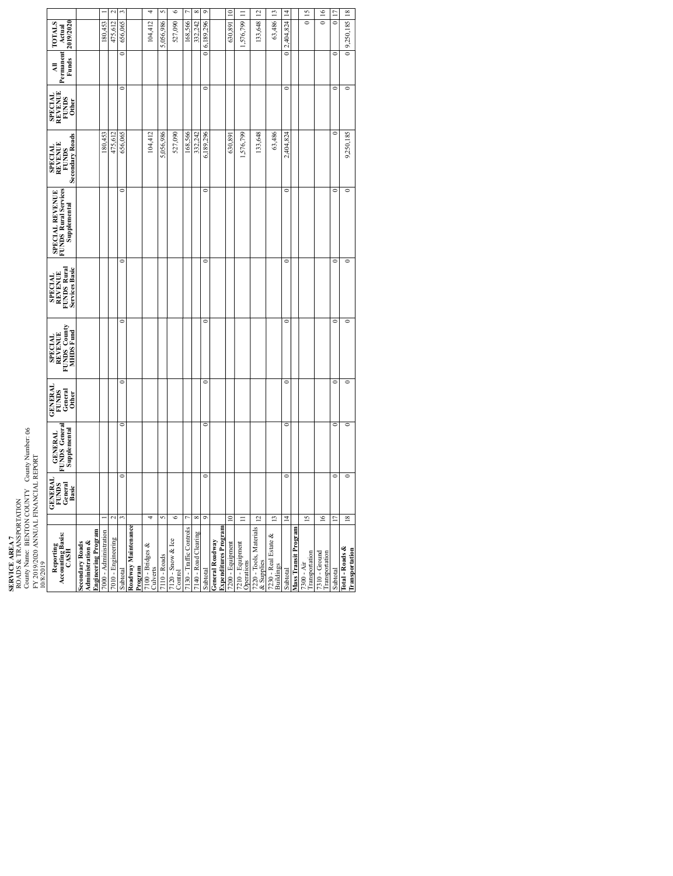|                                                                                             |                                                                                     |                       |                          |                |                                |                              | n            | 6                            |                         | ∞                    | $\circ$        |                                                       | $\approx$        |                                |                                       |                                          |                          |                      |                              |                                 |            |                                   |
|---------------------------------------------------------------------------------------------|-------------------------------------------------------------------------------------|-----------------------|--------------------------|----------------|--------------------------------|------------------------------|--------------|------------------------------|-------------------------|----------------------|----------------|-------------------------------------------------------|------------------|--------------------------------|---------------------------------------|------------------------------------------|--------------------------|----------------------|------------------------------|---------------------------------|------------|-----------------------------------|
| <b>TOTALS</b><br>2019/2020<br>Actual                                                        |                                                                                     | 180,453               | 475,612                  | 656,065        |                                | 104,412                      | 5,056,986    | 527,090                      | 168,566                 | 332.242              | 0 6.189.296    |                                                       | 630,891          | ,576,799 11                    | 33,648 12                             | 63,486 13                                | 2,404,824 14             |                      | 0115                         | 0116                            |            | 0 9,250,185 18                    |
| Permanent<br><b>Funds</b><br>₹                                                              |                                                                                     |                       |                          |                |                                |                              |              |                              |                         |                      |                |                                                       |                  |                                |                                       |                                          | $\overline{\phantom{a}}$ |                      |                              |                                 |            |                                   |
| <b>SPECIAL</b><br>REVENUE<br>FUNDS<br>Other                                                 |                                                                                     |                       |                          | o              |                                |                              |              |                              |                         |                      | c              |                                                       |                  |                                |                                       |                                          | o                        |                      |                              |                                 | c          | $\overline{\phantom{a}}$          |
| Secondary Roads<br><b>SPECIAL<br/>REVENUE</b><br><b>FUNDS</b>                               |                                                                                     | 180,453               | 475,612                  | 656,065        |                                | 104,412                      | 5,056,986    | 527,090                      | 168,566                 | 332.242              | 6,189,296      |                                                       | 630,891          | .576,799                       | 33,648                                | 63,486                                   | 2,404,824                |                      |                              |                                 |            | 9,250,185                         |
| <b>UNDS Rural Services</b><br><b>SPECIAL REVENUE</b><br>Supplemental                        |                                                                                     |                       |                          | Ò              |                                |                              |              |                              |                         |                      | $\epsilon$     |                                                       |                  |                                |                                       |                                          | $\epsilon$               |                      |                              |                                 | C          | 0                                 |
| FUNDS Rural<br><b>Services Basic</b><br><b>SPECIAL</b><br>REVENUE                           |                                                                                     |                       |                          | ¢              |                                |                              |              |                              |                         |                      | $\circ$        |                                                       |                  |                                |                                       |                                          | $\circ$                  |                      |                              |                                 |            | $\circ$                           |
| <b>FUNDS County</b><br>MHDS Fund<br><b>SPECIAL<br/>REVENUE</b>                              |                                                                                     |                       |                          | $\epsilon$     |                                |                              |              |                              |                         |                      | $\epsilon$     |                                                       |                  |                                |                                       |                                          | $\overline{a}$           |                      |                              |                                 | $\epsilon$ | $\epsilon$                        |
| <b>GENERAL</b><br>General<br>Other<br><b>FUNDS</b>                                          |                                                                                     |                       |                          | $\overline{C}$ |                                |                              |              |                              |                         |                      | $\overline{C}$ |                                                       |                  |                                |                                       |                                          | c                        |                      |                              |                                 |            | 0                                 |
| FUNDS General<br>Supplemental<br><b>GENERAL</b>                                             |                                                                                     |                       |                          | Ò              |                                |                              |              |                              |                         |                      | $\epsilon$     |                                                       |                  |                                |                                       |                                          | $\epsilon$               |                      |                              |                                 |            | $\epsilon$                        |
| GENERAI<br>FUNDS<br>General<br>Basic                                                        |                                                                                     |                       |                          |                |                                |                              |              |                              |                         |                      |                |                                                       |                  |                                |                                       |                                          | c                        |                      |                              |                                 |            | $\mathbf{C}$                      |
|                                                                                             |                                                                                     |                       | $\overline{\mathcal{C}}$ |                |                                | $\overline{ }$               | S            | G                            |                         | $^{\circ}$           | 9              |                                                       | $\subseteq$      | $\equiv$                       | $\overline{c}$                        | $\mathbf{r}$                             | 4                        |                      | $\overline{15}$              | $\geq$                          |            | $\overline{18}$                   |
| FY 2019/2020 ANNUAL FINANCIAL REPORT<br>10/8/2019<br>Reporting<br>Accounting Basis:<br>CASH | <b>Engineering Program</b><br><b>Administration &amp;</b><br><b>Secondary Roads</b> | 7000 - Administration | 7010 - Engineering       | Subtotal       | Roadway Maintenance<br>Program | 7100 - Bridges &<br>Culverts | 7110 - Roads | 7120 - Snow & Ice<br>Control | 7130 - Traffic Controls | 7140 - Road Clearing | Subtotal       | <b>Expenditures Program</b><br><b>General Roadway</b> | 7200 - Equipment | 7210 - Equipment<br>Operations | 7220 - Tools, Materials<br>& Supplies | 7230 - Real Estate &<br><b>Buildings</b> | Subtotal                 | Mass Transit Program | Transportation<br>7300 - Air | 7310 - Ground<br>Transportation | Subtotal   | Total - Roads &<br>Transportation |

**SERVICE AREA 7**<br>ROADS & TRANS<br>County Name: BEJ<br>FY 2019/2020 ANI<br>10/8/2019 ROADS & TRANSPORTATION County Name: BENTON COUNTY County Number: 06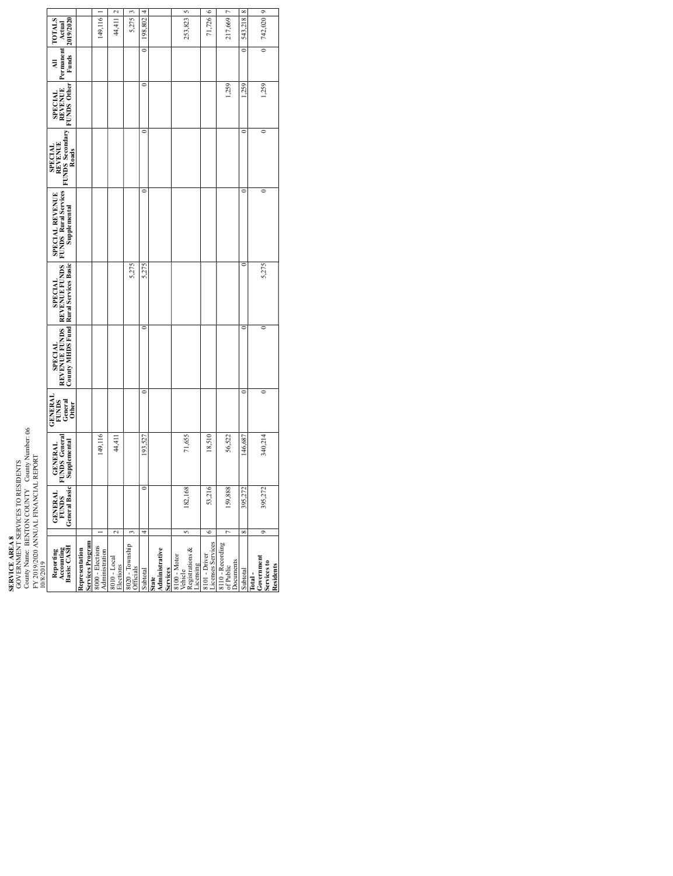**SERVICE AREA 8**<br>GOVERNMENT S<br>County Name: BE<br>FY 2019/2020 ANI<br>10/8/2019 GOVERNMENT SERVICES TO RESIDENTS County Name: BENTON COUNTY County Number: 06

 $\epsilon$  $\overline{\phantom{a}}$  $\overline{1}$  $\overline{2}$  $\overline{\phantom{a}}$ 4 5 7  $\infty$ exov - Loca | 2 44,411 2 44,411 44,411 44,411 44,411 44,411 2 44,411 2 44,411 2 44,411 2 44,411 2 44,411 2 44,411 2 44,411 2 44,411 2 44,411 2 44,411 2 44,411 2 44,411 2 44,411 2 44,411 2 44,411 2 44,411 2 44,411 2 44,411 Subtotal 4 0 193,527 0 0 5,275 0 0 0 0 198,802 4 2001 - 2010<br>Licenses Services 6 53,216<br>Πεσηγεσίας στο 1917/26 6 159,8888 159,888 1,259 1,2522 1,5659 1,259 1,259 1,259 1,259 1,259 1,259 1,259 1,259 1,259 1,269 1, Subtotal 8 395,272 146,687 0 0 0 0 146,687 0 146,687 0 146,687 0 146,687 0 146,687 0 543,218 8 0 0 0 0 0 0 0 0 395,272 340,214 0 0 5,275 0 0 1,259 0 742,020 9Administration 1<br>Administration 199,116 1<br>Administration 199,116 1 Officials 3 5,275 5,275 3 182,168 71,655 253,823 5 149,116 44,411 5,275 198,802 253,823 71,726 217,669 543,218 742,020 **TOTALS Actual 2019/2020**  $\overline{\phantom{0}}$ c  $\overline{\phantom{0}}$ **Permanent Funds All** c 1,259 1,259 1,259 **SPECIAL REVENUE FUNDS Other**  $\overline{\phantom{0}}$ c **FUNDS Secondary SPECIAL REVENUE Roads**  $\overline{\phantom{a}}$  $\overline{\phantom{a}}$  $\overline{\phantom{a}}$ **FUNDS Rural Services SPECIAL REVENUE Supplemental** 5,275 5,275 **Rural Services Basic REVENUE FUNDS SPECIAL**  $\overline{\phantom{a}}$ **REVENUE FUNDS County MHDS Fund SPECIAL**  $\overline{\phantom{0}}$ **GENERAL FUNDS General Other** 149,116 44,411 71,655 18,510 56,522 340,214 146,687 **GENERAL FUNDS General Supplemental** 193.527 FY 2019/2020 ANNUAL FINANCIAL REPORT 182,168 53,216 159,888 395,272 **GENERAL FUNDS General Basic** \$95.27  $\overline{\phantom{0}}$  $\overline{2}$ 3 5 $\epsilon$ 7  $^{\circ}$ 9 **Basis: CASH**<br> **Representation**<br> **Services Program**<br>
8000 - Elections<br>
Administration<br>
8010 - Local<br>
8010 - Local 8020 - Township **Services**<br>8100 - Motor<br>Registrations &<br>Registrations &<br>Licensing<br>8101 - Driver<br>8110 - Recording<br>8110 - Recording<br>61 Public<br>Documents **Reporting Accounting State Administrative Total - Government Services to Residents** Subtotal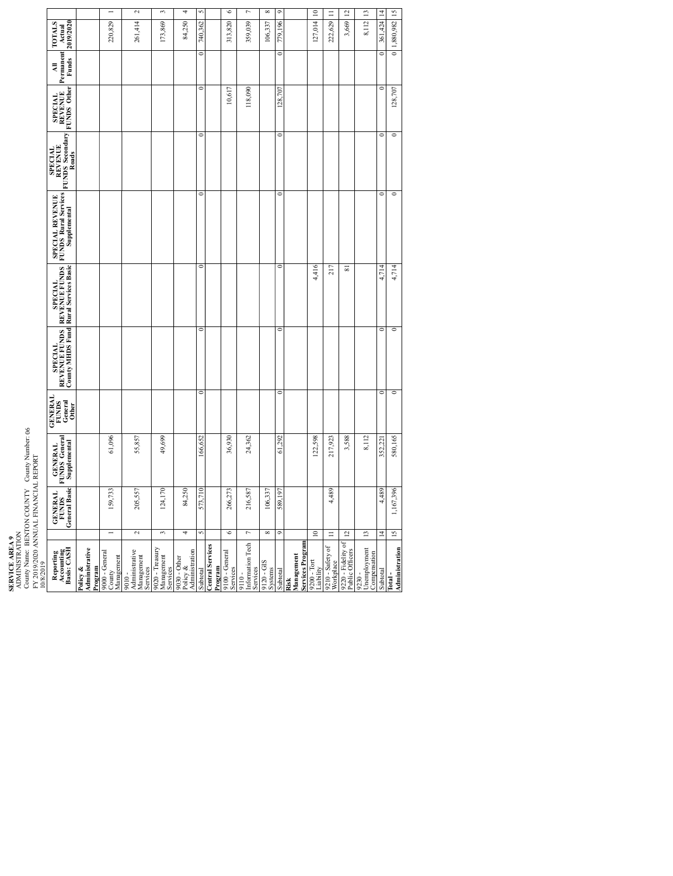County Name: BENTON COUNTY County Number: 06

 $\overline{2}$  $\overline{\phantom{0}}$  $\overline{\bullet}$  $\overline{10}$  $\overline{12}$  $\overline{13}$  $\vert$  14  $15$  $\overline{1}$ 3 7 8  $\Box$ 205,557 55,857 55,857 55,857 55,857 55,857 55,857 55,857 55,857 55,857 55,857 55,857 56,414 2 **94,000 84,000 84,000 84,000 84,000 84,000 84,000 84,000 84,000 84,000 84,000 84,000 84,000 84,000 84,000 84,000 84,000 84,000 84,000 84,000 84,000 84,000 84,000 84,000 84,000 84,000 84** ا 10,617 كان 10,6773 من 10,6273 36,930 36,930 كان 10,6773 36,930 كان 10,677 كان 10,677 313,820 36. 313,820 كان<br>Services 216,582 118,090 118,039 7 24,362 118,090 12,4,362 14,362 14,362 14,362 14,362 15,4,362 15,4,362 15,562 15,562 1 Systems 8 106,337 106,337 8 Subtotal 9 589,197 61,292 0 0 0 0 0 128,707 0 779,196 9 ادا المقام المسافر المسافر المسافر المسافر المسافر المسافر المسافر المسافر المسافر المسافر المسافر المسافر الم<br>المسافر المسافر المسافر المسافر المسافر المسافر المسافر المسافر المسافر المسافر المسافر المسافر المسافر المساف 72.20 + Thermatic Officers 112 3,569 12 3,588 81 31,588 81 31,588 81 31,589 12 3,599 12,569 12,569 12,568 13,589 13,589 13,589 13,589 13,589 13,589 13,589 13,589 13,589 13,589 13,589 13,589 13,589 13,589 13,589 13,589 13,5 التكوية المواصلة المستقادة المواصلة المواصلة المواصلة المواصلة المواصلة المواصلة المواصلة المواصلة المواصلة ال<br>والمواصلة المواصلة المواصلة المواصلة المواصلة المواصلة المواصلة المواصلة المواصلة المواصلة المواصلة المواصلة ا 159,003,000 1.096 1.096 1.097 1.097 1.097 1.097 1.097 1.097 1.097 1.097 1.097 1.097 1.097 1.097 1.097 1.097 1.<br>- 159,733 1.097 1.097 1.097 1.097 1.097 1.097 1.097 1.097 1.097 1.097 1.097 1.097 1.097 1.097 1.097 1.097 1.09 124,170 124,170 124,170 124,171 124,171 124,171 124,171 124,171 124,171 124,171 124,171 124,171 124,171 139,009 1 Subtotal 5 573,710 166,652 0 0 0 0 0 0 0 740,362 5 усле ранку от 11 4,489 217,923 217,933 217<br>Workplace 11 4,489 217,923 217,923 217,923 217 217 217 217 217 217 218 218 218 218 218 212,629 11 13  $11 \times 112$  8,112 8,112 8,112 **Administration 15 1,167,396 1,880,165** 0 580,165 0 580,165 0 0 1,714 0 0 0 128,707 0 1,880,982 15<br>Administration 15 127,014 222,629 8,112 361,424 220,829 261,414 173,869 84,250 313,820 359,039 3,669 0 1,880,982 740,362 106,337 **TOTALS Actual 2019/2020** 779,196  $\overline{a}$  $\overline{a}$ **Permanent Funds All** 10,617 118,090 128,707  $\circ$ 128,707  $\circ$ **SPECIAL REVENUE FUNDS Other**  $\overline{\bullet}$  $\overline{\bullet}$  $\overline{\phantom{0}}$ c **FUNDS Secondary SPECIAL REVENUE Roads**  $\overline{\bullet}$  $\overline{\phantom{a}}$ **FUNDS Rural Services SPECIAL REVENUE Supplemental**  $\overline{\phantom{0}}$ 4,416 217  $\overline{\mathbf{s}}$ 4,714 4,714 **Rural Services Basic REVENUE FUNDS SPECIAL**  $\overline{\phantom{a}}$  $\overline{\phantom{a}}$  $\overline{\phantom{0}}$  $\overline{\phantom{0}}$ **REVENUE FUNDS County MHDS Fund SPECIAL**  $\overline{\phantom{0}}$ ढ  $\circ$  $\overline{\phantom{0}}$ **GENERAL FUNDS General Other** 49,699 36,930 24,362 122,598 3,588 8,112 580,165 61,096 55,857 61,292 352,221 166,652 217,923 **GENERAL FUNDS General Supplemental** FY 2019/2020 ANNUAL FINANCIAL REPORT 124,170 4,489 4,489 159,733 205,557 84,250 573.710 266,273 216,587 106,337 589,197 1,167,396 **GENERAL FUNDS General Basic**  $\overline{a}$ 2 34୕ 7  $^{\circ}$  $\overline{10}$  $\equiv$  $\overline{12}$  $13$  $15$ **SERVICE AREA 9**<br>ADMINISTRATION<br>County Name: BEN<br>FY 2019/2020 ANNI<br>10/8/2019 **Risk Management Services Program** 9200 - Tort 9210 - Safety of 9220 - Fidelity of 9110 - Information Tech Services 9120 - GIS 9030 - Other Policy & Administration **Central Services Reporting Accounting Basis: CASH Policy & Administrative Program** 9000 - General County Management 9010 - Administrative Management Services 9020 - Treasury Management Services 9230 - Unemployment Compensation **Total - Program** 9100 - General Subtotal